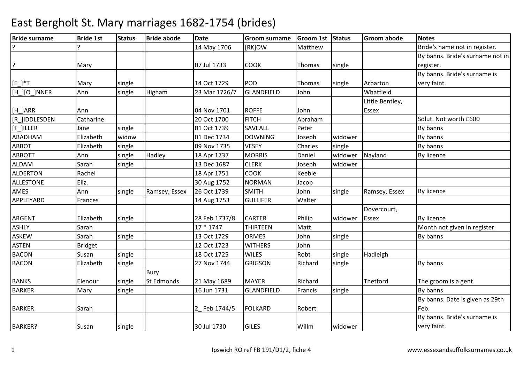| <b>Bride surname</b> | <b>Bride 1st</b> | <b>Status</b> | <b>Bride abode</b> | <b>Date</b>   | <b>Groom surname</b> | Groom 1st Status |         | <b>Groom abode</b> | <b>Notes</b>                     |
|----------------------|------------------|---------------|--------------------|---------------|----------------------|------------------|---------|--------------------|----------------------------------|
| ?                    |                  |               |                    | 14 May 1706   | [RK]OW               | Matthew          |         |                    | Bride's name not in register.    |
|                      |                  |               |                    |               |                      |                  |         |                    | By banns. Bride's surname not in |
| ?                    | Mary             |               |                    | 07 Jul 1733   | <b>COOK</b>          | Thomas           | single  |                    | register.                        |
|                      |                  |               |                    |               |                      |                  |         |                    | By banns. Bride's surname is     |
| $[E_$ *T             | Mary             | single        |                    | 14 Oct 1729   | POD                  | Thomas           | single  | Arbarton           | very faint.                      |
| [H_][O_]NNER         | Ann              | single        | Higham             | 23 Mar 1726/7 | GLANDFIELD           | John             |         | Whatfield          |                                  |
|                      |                  |               |                    |               |                      |                  |         | Little Bentley,    |                                  |
| [H_]ARR              | Ann              |               |                    | 04 Nov 1701   | <b>ROFFE</b>         | John             |         | Essex              |                                  |
| [R_]IDDLESDEN        | Catharine        |               |                    | 20 Oct 1700   | <b>FITCH</b>         | Abraham          |         |                    | Solut. Not worth £600            |
| [T_]ILLER            | Jane             | single        |                    | 01 Oct 1739   | <b>SAVEALL</b>       | Peter            |         |                    | By banns                         |
| ABADHAM              | Elizabeth        | widow         |                    | 01 Dec 1734   | <b>DOWNING</b>       | Joseph           | widower |                    | By banns                         |
| <b>ABBOT</b>         | Elizabeth        | single        |                    | 09 Nov 1735   | <b>VESEY</b>         | Charles          | single  |                    | By banns                         |
| <b>ABBOTT</b>        | Ann              | single        | Hadley             | 18 Apr 1737   | <b>MORRIS</b>        | Daniel           | widower | Nayland            | By licence                       |
| <b>ALDAM</b>         | Sarah            | single        |                    | 13 Dec 1687   | <b>CLERK</b>         | Joseph           | widower |                    |                                  |
| <b>ALDERTON</b>      | Rachel           |               |                    | 18 Apr 1751   | <b>COOK</b>          | Keeble           |         |                    |                                  |
| <b>ALLESTONE</b>     | Eliz.            |               |                    | 30 Aug 1752   | <b>NORMAN</b>        | Jacob            |         |                    |                                  |
| AMES                 | Ann              | single        | Ramsey, Essex      | 26 Oct 1739   | <b>SMITH</b>         | John             | single  | Ramsey, Essex      | By licence                       |
| APPLEYARD            | Frances          |               |                    | 14 Aug 1753   | <b>GULLIFER</b>      | Walter           |         |                    |                                  |
|                      |                  |               |                    |               |                      |                  |         | Dovercourt,        |                                  |
| <b>ARGENT</b>        | Elizabeth        | single        |                    | 28 Feb 1737/8 | <b>CARTER</b>        | Philip           | widower | <b>Essex</b>       | <b>By licence</b>                |
| <b>ASHLY</b>         | Sarah            |               |                    | $17 * 1747$   | <b>THIRTEEN</b>      | Matt             |         |                    | Month not given in register.     |
| ASKEW                | Sarah            | single        |                    | 13 Oct 1729   | <b>ORMES</b>         | John             | single  |                    | By banns                         |
| <b>ASTEN</b>         | <b>Bridget</b>   |               |                    | 12 Oct 1723   | <b>WITHERS</b>       | John             |         |                    |                                  |
| <b>BACON</b>         | Susan            | single        |                    | 18 Oct 1725   | <b>WILES</b>         | Robt             | single  | Hadleigh           |                                  |
| <b>BACON</b>         | Elizabeth        | single        |                    | 27 Nov 1744   | <b>GRIGSON</b>       | Richard          | single  |                    | By banns                         |
|                      |                  |               | Bury               |               |                      |                  |         |                    |                                  |
| <b>BANKS</b>         | Elenour          | single        | St Edmonds         | 21 May 1689   | <b>MAYER</b>         | Richard          |         | Thetford           | The groom is a gent.             |
| <b>BARKER</b>        | Mary             | single        |                    | 16 Jun 1731   | GLANDFIELD           | Francis          | single  |                    | By banns                         |
|                      |                  |               |                    |               |                      |                  |         |                    | By banns. Date is given as 29th  |
| <b>BARKER</b>        | Sarah            |               |                    | 2_Feb 1744/5  | <b>FOLKARD</b>       | Robert           |         |                    | Feb.                             |
|                      |                  |               |                    |               |                      |                  |         |                    | By banns. Bride's surname is     |
| <b>BARKER?</b>       | Susan            | single        |                    | 30 Jul 1730   | <b>GILES</b>         | Willm            | widower |                    | very faint.                      |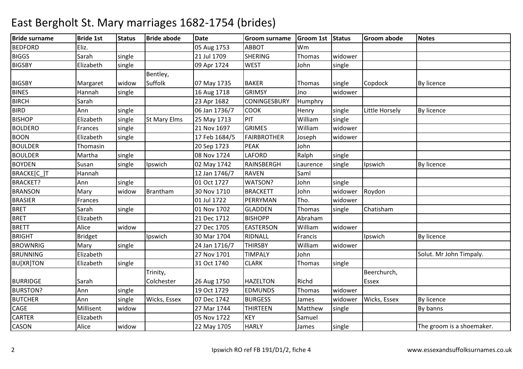| <b>Bride surname</b> | <b>Bride 1st</b> | <b>Status</b> | <b>Bride abode</b>  | <b>Date</b>   | <b>Groom surname</b> | Groom 1st Status |         | <b>Groom abode</b> | <b>Notes</b>              |
|----------------------|------------------|---------------|---------------------|---------------|----------------------|------------------|---------|--------------------|---------------------------|
| <b>BEDFORD</b>       | Eliz.            |               |                     | 05 Aug 1753   | <b>ABBOT</b>         | Wm               |         |                    |                           |
| <b>BIGGS</b>         | Sarah            | single        |                     | 21 Jul 1709   | <b>SHERING</b>       | Thomas           | widower |                    |                           |
| <b>BIGSBY</b>        | Elizabeth        | single        |                     | 09 Apr 1724   | <b>WEST</b>          | John             | single  |                    |                           |
|                      |                  |               | Bentley,            |               |                      |                  |         |                    |                           |
| <b>BIGSBY</b>        | Margaret         | widow         | <b>Suffolk</b>      | 07 May 1735   | <b>BAKER</b>         | Thomas           | single  | Copdock            | By licence                |
| <b>BINES</b>         | Hannah           | single        |                     | 16 Aug 1718   | <b>GRIMSY</b>        | Jno              | widower |                    |                           |
| <b>BIRCH</b>         | Sarah            |               |                     | 23 Apr 1682   | <b>CONINGESBURY</b>  | Humphry          |         |                    |                           |
| <b>BIRD</b>          | Ann              | single        |                     | 06 Jan 1736/7 | <b>COOK</b>          | Henry            | single  | Little Horsely     | By licence                |
| <b>BISHOP</b>        | Elizabeth        | single        | <b>St Mary Elms</b> | 25 May 1713   | PIT                  | William          | single  |                    |                           |
| <b>BOLDERO</b>       | Frances          | single        |                     | 21 Nov 1697   | <b>GRIMES</b>        | William          | widower |                    |                           |
| <b>BOON</b>          | Elizabeth        | single        |                     | 17 Feb 1684/5 | <b>FAIRBROTHER</b>   | Joseph           | widower |                    |                           |
| <b>BOULDER</b>       | Thomasin         |               |                     | 20 Sep 1723   | <b>PEAK</b>          | John             |         |                    |                           |
| <b>BOULDER</b>       | Martha           | single        |                     | 08 Nov 1724   | <b>LAFORD</b>        | Ralph            | single  |                    |                           |
| <b>BOYDEN</b>        | Susan            | single        | Ipswich             | 02 May 1742   | RAINSBERGH           | Laurence         | single  | Ipswich            | By licence                |
| BRACKE[C_]T          | Hannah           |               |                     | 12 Jan 1746/7 | <b>RAVEN</b>         | Saml             |         |                    |                           |
| <b>BRACKET?</b>      | Ann              | single        |                     | 01 Oct 1727   | WATSON?              | John             | single  |                    |                           |
| <b>BRANSON</b>       | Mary             | widow         | Brantham            | 30 Nov 1710   | <b>BRACKETT</b>      | John             | widower | Roydon             |                           |
| <b>BRASIER</b>       | Frances          |               |                     | 01 Jul 1722   | PERRYMAN             | Tho.             | widower |                    |                           |
| <b>BRET</b>          | Sarah            | single        |                     | 01 Nov 1702   | <b>GLADDEN</b>       | Thomas           | single  | Chatisham          |                           |
| <b>BRET</b>          | Elizabeth        |               |                     | 21 Dec 1712   | <b>BISHOPP</b>       | Abraham          |         |                    |                           |
| <b>BRETT</b>         | Alice            | widow         |                     | 27 Dec 1705   | <b>EASTERSON</b>     | William          | widower |                    |                           |
| <b>BRIGHT</b>        | <b>Bridget</b>   |               | Ipswich             | 30 Mar 1704   | RIDNALL              | Francis          |         | Ipswich            | By licence                |
| <b>BROWNRIG</b>      | Mary             | single        |                     | 24 Jan 1716/7 | <b>THIRSBY</b>       | William          | widower |                    |                           |
| <b>BRUNNING</b>      | Elizabeth        |               |                     | 27 Nov 1701   | <b>TIMPALY</b>       | John             |         |                    | Solut. Mr John Timpaly.   |
| <b>BU[XR]TON</b>     | Elizabeth        | single        |                     | 31 Oct 1740   | <b>CLARK</b>         | Thomas           | single  |                    |                           |
|                      |                  |               | Trinity,            |               |                      |                  |         | Beerchurch,        |                           |
| <b>BURRIDGE</b>      | Sarah            |               | Colchester          | 26 Aug 1750   | <b>HAZELTON</b>      | Richd            |         | <b>Essex</b>       |                           |
| <b>BURSTON?</b>      | Ann              | single        |                     | 19 Oct 1729   | <b>EDMUNDS</b>       | Thomas           | widower |                    |                           |
| <b>BUTCHER</b>       | Ann              | single        | Wicks, Essex        | 07 Dec 1742   | <b>BURGESS</b>       | James            | widower | Wicks, Essex       | By licence                |
| CAGE                 | Millisent        | widow         |                     | 27 Mar 1744   | <b>THIRTEEN</b>      | Matthew          | single  |                    | By banns                  |
| <b>CARTER</b>        | Elizabeth        |               |                     | 05 Nov 1722   | <b>KEY</b>           | Samuel           |         |                    |                           |
| <b>CASON</b>         | Alice            | widow         |                     | 22 May 1705   | <b>HARLY</b>         | James            | single  |                    | The groom is a shoemaker. |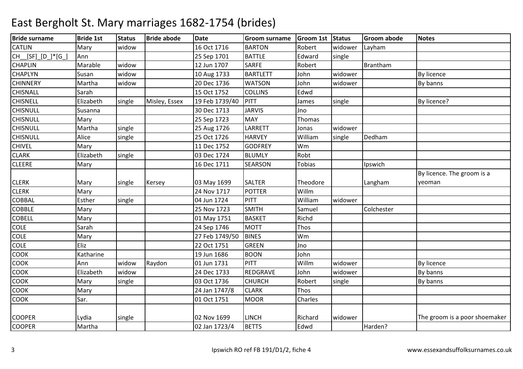| <b>Bride surname</b> | <b>Bride 1st</b> | <b>Status</b> | <b>Bride abode</b> | <b>Date</b>    | <b>Groom surname</b> | Groom 1st Status |         | <b>Groom abode</b> | <b>Notes</b>                  |
|----------------------|------------------|---------------|--------------------|----------------|----------------------|------------------|---------|--------------------|-------------------------------|
| <b>CATLIN</b>        | Mary             | widow         |                    | 16 Oct 1716    | <b>BARTON</b>        | Robert           | widower | Layham             |                               |
| CH_[SF]_[D_]*[G_]    | Ann              |               |                    | 25 Sep 1701    | <b>BATTLE</b>        | Edward           | single  |                    |                               |
| <b>CHAPLIN</b>       | Marable          | widow         |                    | 12 Jun 1707    | <b>SARFE</b>         | Robert           |         | Brantham           |                               |
| <b>CHAPLYN</b>       | Susan            | widow         |                    | 10 Aug 1733    | <b>BARTLETT</b>      | John             | widower |                    | By licence                    |
| <b>CHINNERY</b>      | Martha           | widow         |                    | 20 Dec 1736    | <b>WATSON</b>        | John             | widower |                    | By banns                      |
| <b>CHISNALL</b>      | Sarah            |               |                    | 15 Oct 1752    | <b>COLLINS</b>       | Edwd             |         |                    |                               |
| <b>CHISNELL</b>      | Elizabeth        | single        | Misley, Essex      | 19 Feb 1739/40 | PITT                 | James            | single  |                    | By licence?                   |
| <b>CHISNULL</b>      | Susanna          |               |                    | 30 Dec 1713    | <b>JARVIS</b>        | Jno              |         |                    |                               |
| <b>CHISNULL</b>      | Mary             |               |                    | 25 Sep 1723    | <b>MAY</b>           | Thomas           |         |                    |                               |
| <b>CHISNULL</b>      | Martha           | single        |                    | 25 Aug 1726    | <b>LARRETT</b>       | Jonas            | widower |                    |                               |
| <b>CHISNULL</b>      | Alice            | single        |                    | 25 Oct 1726    | <b>HARVEY</b>        | William          | single  | Dedham             |                               |
| <b>CHIVEL</b>        | Mary             |               |                    | 11 Dec 1752    | <b>GODFREY</b>       | Wm               |         |                    |                               |
| <b>CLARK</b>         | Elizabeth        | single        |                    | 03 Dec 1724    | <b>BLUMLY</b>        | Robt             |         |                    |                               |
| <b>CLEERE</b>        | Mary             |               |                    | 16 Dec 1711    | <b>SEARSON</b>       | <b>Tobias</b>    |         | Ipswich            |                               |
|                      |                  |               |                    |                |                      |                  |         |                    | By licence. The groom is a    |
| <b>CLERK</b>         | Mary             | single        | Kersey             | 03 May 1699    | <b>SALTER</b>        | Theodore         |         | Langham            | yeoman                        |
| <b>CLERK</b>         | Mary             |               |                    | 24 Nov 1717    | <b>POTTER</b>        | Willm            |         |                    |                               |
| <b>COBBAL</b>        | Esther           | single        |                    | 04 Jun 1724    | <b>PITT</b>          | William          | widower |                    |                               |
| <b>COBBLE</b>        | Mary             |               |                    | 25 Nov 1723    | <b>SMITH</b>         | Samuel           |         | Colchester         |                               |
| <b>COBELL</b>        | Mary             |               |                    | 01 May 1751    | <b>BASKET</b>        | Richd            |         |                    |                               |
| <b>COLE</b>          | Sarah            |               |                    | 24 Sep 1746    | <b>MOTT</b>          | Thos             |         |                    |                               |
| <b>COLE</b>          | Mary             |               |                    | 27 Feb 1749/50 | <b>BINES</b>         | Wm               |         |                    |                               |
| COLE                 | Eliz             |               |                    | 22 Oct 1751    | <b>GREEN</b>         | Jno              |         |                    |                               |
| <b>COOK</b>          | Katharine        |               |                    | 19 Jun 1686    | <b>BOON</b>          | John             |         |                    |                               |
| <b>COOK</b>          | Ann              | widow         | Raydon             | 01 Jun 1731    | <b>PITT</b>          | Willm            | widower |                    | <b>By licence</b>             |
| COOK                 | Elizabeth        | widow         |                    | 24 Dec 1733    | REDGRAVE             | John             | widower |                    | By banns                      |
| <b>COOK</b>          | Mary             | single        |                    | 03 Oct 1736    | <b>CHURCH</b>        | Robert           | single  |                    | By banns                      |
| <b>COOK</b>          | Mary             |               |                    | 24 Jan 1747/8  | <b>CLARK</b>         | Thos             |         |                    |                               |
| <b>COOK</b>          | Sar.             |               |                    | 01 Oct 1751    | <b>MOOR</b>          | Charles          |         |                    |                               |
|                      |                  |               |                    |                |                      |                  |         |                    |                               |
| <b>COOPER</b>        | Lydia            | single        |                    | 02 Nov 1699    | <b>LINCH</b>         | Richard          | widower |                    | The groom is a poor shoemaker |
| <b>COOPER</b>        | Martha           |               |                    | 02 Jan 1723/4  | <b>BETTS</b>         | Edwd             |         | Harden?            |                               |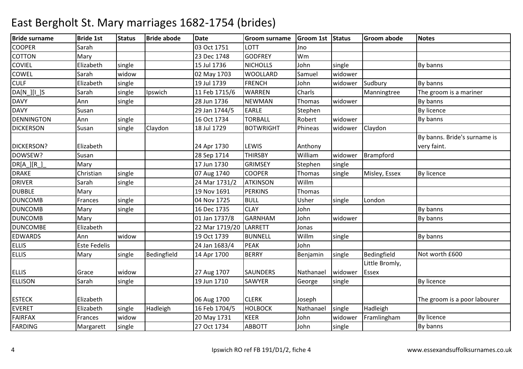| <b>Bride surname</b>  | <b>Bride 1st</b>    | <b>Status</b> | <b>Bride abode</b> | <b>Date</b>    | <b>Groom surname</b> | Groom 1st Status |         | <b>Groom abode</b> | <b>Notes</b>                 |
|-----------------------|---------------------|---------------|--------------------|----------------|----------------------|------------------|---------|--------------------|------------------------------|
| <b>COOPER</b>         | Sarah               |               |                    | 03 Oct 1751    | <b>LOTT</b>          | Jno              |         |                    |                              |
| <b>COTTON</b>         | Mary                |               |                    | 23 Dec 1748    | <b>GODFREY</b>       | Wm               |         |                    |                              |
| <b>COVIEL</b>         | Elizabeth           | single        |                    | 15 Jul 1736    | <b>NICHOLLS</b>      | John             | single  |                    | By banns                     |
| COWEL                 | Sarah               | widow         |                    | 02 May 1703    | <b>WOOLLARD</b>      | Samuel           | widower |                    |                              |
| <b>CULF</b>           | Elizabeth           | single        |                    | 19 Jul 1739    | <b>FRENCH</b>        | John             | widower | Sudbury            | By banns                     |
| $DA[N_{  }][I_{  }]S$ | Sarah               | single        | Ipswich            | 11 Feb 1715/6  | <b>WARREN</b>        | Charls           |         | Manningtree        | The groom is a mariner       |
| <b>DAVY</b>           | Ann                 | single        |                    | 28 Jun 1736    | <b>NEWMAN</b>        | Thomas           | widower |                    | By banns                     |
| <b>DAVY</b>           | Susan               |               |                    | 29 Jan 1744/5  | <b>EARLE</b>         | Stephen          |         |                    | <b>By licence</b>            |
| <b>DENNINGTON</b>     | Ann                 | single        |                    | 16 Oct 1734    | <b>TORBALL</b>       | Robert           | widower |                    | By banns                     |
| <b>DICKERSON</b>      | Susan               | single        | Claydon            | 18 Jul 1729    | <b>BOTWRIGHT</b>     | Phineas          | widower | Claydon            |                              |
|                       |                     |               |                    |                |                      |                  |         |                    | By banns. Bride's surname is |
| <b>DICKERSON?</b>     | Elizabeth           |               |                    | 24 Apr 1730    | <b>LEWIS</b>         | Anthony          |         |                    | very faint.                  |
| DOWSEW?               | Susan               |               |                    | 28 Sep 1714    | <b>THIRSBY</b>       | William          | widower | Brampford          |                              |
| $DR[A_{}] [R_{}]$     | Mary                |               |                    | 17 Jun 1730    | <b>GRIMSEY</b>       | Stephen          | single  |                    |                              |
| <b>DRAKE</b>          | Christian           | single        |                    | 07 Aug 1740    | <b>COOPER</b>        | Thomas           | single  | Misley, Essex      | By licence                   |
| <b>DRIVER</b>         | Sarah               | single        |                    | 24 Mar 1731/2  | <b>ATKINSON</b>      | Willm            |         |                    |                              |
| <b>DUBBLE</b>         | Mary                |               |                    | 19 Nov 1691    | <b>PERKINS</b>       | Thomas           |         |                    |                              |
| <b>DUNCOMB</b>        | Frances             | single        |                    | 04 Nov 1725    | <b>BULL</b>          | Usher            | single  | London             |                              |
| <b>DUNCOMB</b>        | Mary                | single        |                    | 16 Dec 1735    | <b>CLAY</b>          | John             |         |                    | By banns                     |
| <b>DUNCOMB</b>        | Mary                |               |                    | 01 Jan 1737/8  | <b>GARNHAM</b>       | John             | widower |                    | By banns                     |
| <b>DUNCOMBE</b>       | Elizabeth           |               |                    | 22 Mar 1719/20 | LARRETT              | Jonas            |         |                    |                              |
| <b>EDWARDS</b>        | Ann                 | widow         |                    | 19 Oct 1739    | <b>BUNNELL</b>       | Willm            | single  |                    | By banns                     |
| <b>ELLIS</b>          | <b>Este Fedelis</b> |               |                    | 24 Jan 1683/4  | <b>PEAK</b>          | John             |         |                    |                              |
| <b>ELLIS</b>          | Mary                | single        | Bedingfield        | 14 Apr 1700    | <b>BERRY</b>         | Benjamin         | single  | Bedingfield        | Not worth £600               |
|                       |                     |               |                    |                |                      |                  |         | Little Bromly,     |                              |
| <b>ELLIS</b>          | Grace               | widow         |                    | 27 Aug 1707    | <b>SAUNDERS</b>      | Nathanael        | widower | <b>Essex</b>       |                              |
| <b>ELLISON</b>        | Sarah               | single        |                    | 19 Jun 1710    | <b>SAWYER</b>        | George           | single  |                    | By licence                   |
|                       |                     |               |                    |                |                      |                  |         |                    |                              |
| <b>ESTECK</b>         | Elizabeth           |               |                    | 06 Aug 1700    | <b>CLERK</b>         | Joseph           |         |                    | The groom is a poor labourer |
| <b>EVERET</b>         | Elizabeth           | single        | Hadleigh           | 16 Feb 1704/5  | <b>HOLBOCK</b>       | Nathanael        | single  | Hadleigh           |                              |
| <b>FAIRFAX</b>        | Frances             | widow         |                    | 20 May 1731    | <b>KEER</b>          | John             | widower | Framlingham        | <b>By licence</b>            |
| <b>FARDING</b>        | Margarett           | single        |                    | 27 Oct 1734    | <b>ABBOTT</b>        | John             | single  |                    | By banns                     |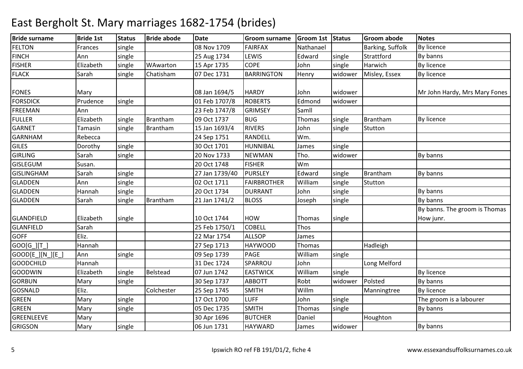| <b>Bride surname</b> | <b>Bride 1st</b> | <b>Status</b> | <b>Bride abode</b> | <b>Date</b>    | <b>Groom surname</b> | Groom 1st Status |         | <b>Groom abode</b> | <b>Notes</b>                  |
|----------------------|------------------|---------------|--------------------|----------------|----------------------|------------------|---------|--------------------|-------------------------------|
| <b>FELTON</b>        | Frances          | single        |                    | 08 Nov 1709    | <b>FAIRFAX</b>       | Nathanael        |         | Barking, Suffolk   | <b>By licence</b>             |
| <b>FINCH</b>         | Ann              | single        |                    | 25 Aug 1734    | LEWIS                | Edward           | single  | Strattford         | By banns                      |
| <b>FISHER</b>        | Elizabeth        | single        | WAwarton           | 15 Apr 1735    | <b>COPE</b>          | John             | single  | Harwich            | By licence                    |
| <b>FLACK</b>         | Sarah            | single        | Chatisham          | 07 Dec 1731    | <b>BARRINGTON</b>    | Henry            | widower | Misley, Essex      | <b>By licence</b>             |
| <b>FONES</b>         | Mary             |               |                    | 08 Jan 1694/5  | <b>HARDY</b>         | John             | widower |                    | Mr John Hardy, Mrs Mary Fones |
| <b>FORSDICK</b>      | Prudence         | single        |                    | 01 Feb 1707/8  | <b>ROBERTS</b>       | Edmond           | widower |                    |                               |
| <b>FREEMAN</b>       | Ann              |               |                    | 23 Feb 1747/8  | <b>GRIMSEY</b>       | Samll            |         |                    |                               |
| <b>FULLER</b>        | Elizabeth        | single        | Brantham           | 09 Oct 1737    | <b>BUG</b>           | Thomas           | single  | Brantham           | <b>By licence</b>             |
| <b>GARNET</b>        | Tamasin          | single        | Brantham           | 15 Jan 1693/4  | <b>RIVERS</b>        | John             | single  | Stutton            |                               |
| <b>GARNHAM</b>       | Rebecca          |               |                    | 24 Sep 1751    | <b>RANDELL</b>       | Wm.              |         |                    |                               |
| <b>GILES</b>         | Dorothy          | single        |                    | 30 Oct 1701    | <b>HUNNIBAL</b>      | James            | single  |                    |                               |
| <b>GIRLING</b>       | Sarah            | single        |                    | 20 Nov 1733    | <b>NEWMAN</b>        | Tho.             | widower |                    | By banns                      |
| <b>GISLEGUM</b>      | Susan.           |               |                    | 20 Oct 1748    | <b>FISHER</b>        | Wm               |         |                    |                               |
| <b>GISLINGHAM</b>    | Sarah            | single        |                    | 27 Jan 1739/40 | <b>PURSLEY</b>       | Edward           | single  | Brantham           | By banns                      |
| <b>GLADDEN</b>       | Ann              | single        |                    | 02 Oct 1711    | <b>FAIRBROTHER</b>   | William          | single  | Stutton            |                               |
| <b>GLADDEN</b>       | Hannah           | single        |                    | 20 Oct 1734    | <b>DURRANT</b>       | John             | single  |                    | By banns                      |
| GLADDEN              | Sarah            | single        | Brantham           | 21 Jan 1741/2  | <b>BLOSS</b>         | Joseph           | single  |                    | By banns                      |
|                      |                  |               |                    |                |                      |                  |         |                    | By banns. The groom is Thomas |
| <b>GLANDFIELD</b>    | Elizabeth        | single        |                    | 10 Oct 1744    | <b>HOW</b>           | Thomas           | single  |                    | How junr.                     |
| <b>GLANFIELD</b>     | Sarah            |               |                    | 25 Feb 1750/1  | <b>COBELL</b>        | Thos             |         |                    |                               |
| <b>GOFF</b>          | Eliz.            |               |                    | 22 Mar 1754    | <b>ALLSOP</b>        | James            |         |                    |                               |
| $GOO[G_][T_$         | Hannah           |               |                    | 27 Sep 1713    | <b>HAYWOOD</b>       | Thomas           |         | Hadleigh           |                               |
| GOOD[E_][N_][E_]     | Ann              | single        |                    | 09 Sep 1739    | PAGE                 | William          | single  |                    |                               |
| <b>GOODCHILD</b>     | Hannah           |               |                    | 31 Dec 1724    | SPARROU              | John             |         | Long Melford       |                               |
| <b>GOODWIN</b>       | Elizabeth        | single        | Belstead           | 07 Jun 1742    | <b>EASTWICK</b>      | William          | single  |                    | <b>By licence</b>             |
| <b>GORBUN</b>        | Mary             | single        |                    | 30 Sep 1737    | <b>ABBOTT</b>        | Robt             | widower | Polsted            | By banns                      |
| GOSNALD              | Eliz.            |               | Colchester         | 25 Sep 1745    | <b>SMITH</b>         | Willm            |         | Manningtree        | <b>By licence</b>             |
| <b>GREEN</b>         | Mary             | single        |                    | 17 Oct 1700    | <b>LUFF</b>          | John             | single  |                    | The groom is a labourer       |
| <b>GREEN</b>         | Mary             | single        |                    | 05 Dec 1735    | <b>SMITH</b>         | Thomas           | single  |                    | By banns                      |
| GREENLEEVE           | Mary             |               |                    | 30 Apr 1696    | <b>BUTCHER</b>       | Daniel           |         | Houghton           |                               |
| <b>GRIGSON</b>       | Mary             | single        |                    | 06 Jun 1731    | <b>HAYWARD</b>       | James            | widower |                    | By banns                      |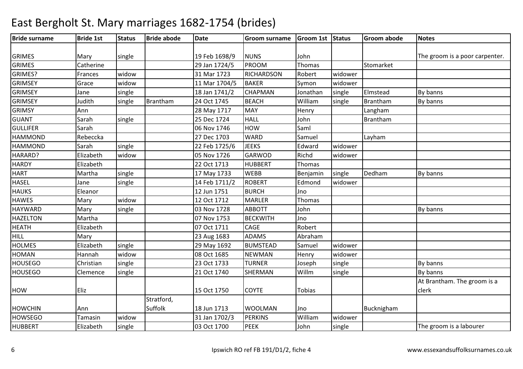#### Bride surnamee Bride 1st Status Bride abode Date Groom surname Groom 1st Status Groom abode Notes GRIMES Mary single 19 Feb 1698/9 NUNS John John **Immedia and The groom is a poor carpenter.**<br>Thomas Stomarket GRIMES**Catherine**  29 Jan 1724/5 PROOMM Thomas Stomarket<br>RESON BLU GRIMES?Frances Widow 31 Mar 1723 RICHARDSON Robert widower GRIMSEY**Grace**  widoww 11 Mar 1704/5 BAKER Symon widower GRIMSEY Jane|single | 18 Jan 1741/2 **CHAPMAN** N Jonathan single Elmstead By banns GRIMSEY Judithsingle Brantham m 24 Oct 1745 BEACH William single Brantham By banns GRIMSY Annn 1980 | 28 May 1717 | MAY | Henry | Langham **Brantham** GUANT Sarahh single 25 Dec 1724 HALL John 15 Brantham **GULLIFER**  Sarah 06 Nov 1746 HOWHOW Saml<br>WARD Samuel HAMMONDD Rebeccka 27 Dec 1703 WARD Samuel Layham HAMMONDD Sarah single 22 Feb 1725/6 JEEKS Edward widower HARARD? Elizabeth widow 05 Nov 1726 GARWOD Richd widower **HARDY**  Elizabeth 22 Oct 1713 HUBBERT Thomas **HART** Martha single 17 May 1733WEBB<br>ROBERT Benjamin single Dedham By banns **HASEL**  Jane|**single** | 14 Feb 1711/2 Edmond widower **HAUKS**  Eleanor 12 Jun 175112 Jun 1751 BURCH<br>12 Oct 1712 MARLER H<sub>Jno</sub> **HAWES** Mary **widow**  12 Oct 1712 MARLER Thomas **HAYWARD** D Mary single 03 Nov 1728 ABBOTT John J Research By banns HAZELTONN Martha Natha 11 Martha 11 Martha 11 Martha 11 Martha 11 Martha 11 Martha 11 Martha 11 Martha 11 Martha 11 Ma HEATH Elizabeth 07 Oct 1711 CAGE Robert HILL Mary 23 Aug 1683 ADAMS AbrahamSamuel **HOLMES**  Elizabethsingle 29 May 1692 BUMSTEAD<br>widow 08 Oct 1685 NEWMAN Samuel widower<br>Henry widower HOMANHannah widow<br>Christian single w 08 Oct 1685 NEWMAN Henry widower **HOUSEGO** O Christian single 23 Oct 1733 TURNER Joseph single By banns **HOUSEGO** O Clemence single 21 Oct 1740 SHERMAN Willm m single By banns HOW Eliz 15 Oct 1750 COYTE TobiasAt Brantham. The groom is a clerkHOWCHIN Ann Tamasin widowStratford, Suffolkk 18 Jun 1713 WOOLMAN Jno Bucknigham **HOWSEGO** widow 31 Jan 1702/3 PERKINS William<br>Single 33 Oct 1700 PEEK John widower<br>single HUBBERT Elizabethh |single | 1930 oct 1700 PEEK | John |single | The groom is a labourer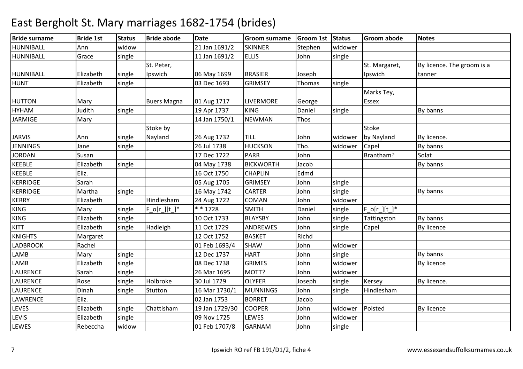#### Bride surnamee Bride 1st Status Bride abode Date Groom surname Groom 1st Status Groom abode Notes **HUNNIBALL**  Annwidow<br>single w 21 Jan 1691/2 SKINNER Stephen widower HUNNIBALL**Grace** 11 Jan 1691/2 ELLIS John single HUNNIBALL Elizabeth single single St. Peter, Ipswich06 May 1699 BRASIER Joseph<br>03 Dec 1693 GRIMSEY Thoma Thomas St. Margaret, IpswichBy licence. The groom is a tannerHUNT Elizabethh | single | 103 Dec 1693 | GRIMSEY | Thomas | single HUTTON Mary Buers Magna 01 Aug 1717 LIVERMORE GeorgeDaniel Marks Tey, EssexHYHAMM 19 Apr 1737 KING Daniel single By banns<br>19 Apr 1737 KING Daniel single By banns JARMIGEMary 14 Jan 1750/1 NEWMAN Thos JARVIS Ann single Stoke by Nayland26 Aug 1732 TILL John Widower **Stoke** by Nayland By licence. **JENNINGS**  Jane|**single** | 26 Jul 1738 26 Jul 1738 HUCKSON<br>17 Dec 1722 PARR N Tho. Widower Capel By banns JORDANN Susan 17 Dec 1722 PARR John Brantham? Solat KEEBLE Elizabethsingle |  $\vert$  04 May 1738 BICKWORTH H Jacob **By banns** KEEBLEEliz. 16 Oct 1750 16 Oct 1750 CHAPLIN<br>05 Aug 1705 GRIMSEY CHAPLIN Edmd<br>GRIMSEY John KERRIDGE Sarah 05 Aug 1705 GRIMSEY John single KERRIDGEMartha single 16 May 1742 CARTERR John single By banns **KERRY**  ElizabethHindlesham<br>single F ofr It 1\* Hindlesham 24 Aug 1722 COMAN John widower<br>
F o[r ][t ]\* \* \* 1728 SMITH Daniel single KINGG  $\overline{Mary}$  single  $F_o[r_l][t_l]^*$  \*\*1728 SMITH Daniel single  $F_o[r_l][t_l]^*$ KINGG 10 Oct 1733 BLAYSBY John single By banns KITT Elizabethh |single |Hadleigh | 11 Oct 1729 | ANDREWES | John |single | Capel | By licence KNIGHTS Margaret 12 Oct 175212 Oct 1752 BASKET Richd John LADBROOKRachel **Rachel Example 1693/4 SHAW**<br>Mary Single 12 Dec 1737 HART John <mark>widower</mark><br>John single **LAMB** B 12 Dec 1737 HART John Single By banns LAMBB 19 Elizabeth single 1980 Dec 1738 GRIMES John widower By licence LAURENCE Sarahh single 26 Mar 1695 MOTT? John widower LAURENCE Rosesingle Holbroke 30 Jul 1729 OLYFERR Joseph single Kersey By licence. LAURENCE Dinahh Single Stutton 16 Mar 1730/1 MUNNINGS John Single Hindlesham LAWRENCE Eliz. 02 Jan 1753BORRET Jacob<br>COOPER John John LEVES Elizabethsingle Chattisham m 19 Jan 1729/30 COOPER John widower Polsted By licence LEVIS Elizabethh |single | 199 Nov 1725 |LEWES | John | widower LEWES Rebeccha widow 01 Feb 1707/8 GARNAMM <mark>John Single</mark>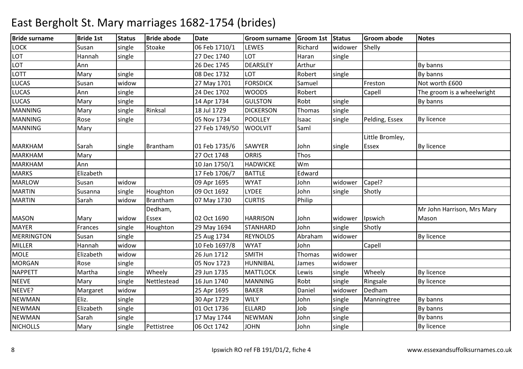| <b>Bride surname</b> | <b>Bride 1st</b> | <b>Status</b> | <b>Bride abode</b> | <b>Date</b>    | <b>Groom surname</b> | Groom 1st Status |         | <b>Groom abode</b> | <b>Notes</b>               |
|----------------------|------------------|---------------|--------------------|----------------|----------------------|------------------|---------|--------------------|----------------------------|
| <b>LOCK</b>          | Susan            | single        | Stoake             | 06 Feb 1710/1  | LEWES                | Richard          | widower | Shelly             |                            |
| LOT                  | Hannah           | single        |                    | 27 Dec 1740    | LOT                  | Haran            | single  |                    |                            |
| LOT                  | Ann              |               |                    | 26 Dec 1745    | <b>DEARSLEY</b>      | Arthur           |         |                    | By banns                   |
| <b>LOTT</b>          | Mary             | single        |                    | 08 Dec 1732    | LOT                  | Robert           | single  |                    | By banns                   |
| <b>LUCAS</b>         | Susan            | widow         |                    | 27 May 1701    | <b>FORSDICK</b>      | Samuel           |         | Freston            | Not worth £600             |
| <b>LUCAS</b>         | Ann              | single        |                    | 24 Dec 1702    | <b>WOODS</b>         | Robert           |         | Capell             | The groom is a wheelwright |
| <b>LUCAS</b>         | Mary             | single        |                    | 14 Apr 1734    | <b>GULSTON</b>       | Robt             | single  |                    | By banns                   |
| <b>MANNING</b>       | Mary             | single        | Rinksal            | 18 Jul 1729    | <b>DICKERSON</b>     | Thomas           | single  |                    |                            |
| <b>MANNING</b>       | Rose             | single        |                    | 05 Nov 1734    | <b>POOLLEY</b>       | Isaac            | single  | Pelding, Essex     | By licence                 |
| <b>MANNING</b>       | Mary             |               |                    | 27 Feb 1749/50 | <b>WOOLVIT</b>       | Saml             |         |                    |                            |
|                      |                  |               |                    |                |                      |                  |         | Little Bromley,    |                            |
| <b>MARKHAM</b>       | Sarah            | single        | Brantham           | 01 Feb 1735/6  | SAWYER               | John             | single  | <b>Essex</b>       | By licence                 |
| <b>MARKHAM</b>       | Mary             |               |                    | 27 Oct 1748    | <b>ORRIS</b>         | Thos             |         |                    |                            |
| <b>MARKHAM</b>       | Ann              |               |                    | 10 Jan 1750/1  | <b>HADWICKE</b>      | Wm               |         |                    |                            |
| <b>MARKS</b>         | Elizabeth        |               |                    | 17 Feb 1706/7  | <b>BATTLE</b>        | Edward           |         |                    |                            |
| <b>MARLOW</b>        | Susan            | widow         |                    | 09 Apr 1695    | <b>WYAT</b>          | John             | widower | Capel?             |                            |
| <b>MARTIN</b>        | Susanna          | single        | Houghton           | 09 Oct 1692    | <b>LYDEE</b>         | John             | single  | Shotly             |                            |
| <b>MARTIN</b>        | Sarah            | widow         | Brantham           | 07 May 1730    | <b>CURTIS</b>        | Philip           |         |                    |                            |
|                      |                  |               | Dedham,            |                |                      |                  |         |                    | Mr John Harrison, Mrs Mary |
| <b>MASON</b>         | Mary             | widow         | Essex              | 02 Oct 1690    | <b>HARRISON</b>      | John             | widower | Ipswich            | Mason                      |
| <b>MAYER</b>         | Frances          | single        | Houghton           | 29 May 1694    | <b>STANHARD</b>      | John             | single  | Shotly             |                            |
| <b>MERRINGTON</b>    | Susan            | single        |                    | 25 Aug 1734    | <b>REYNOLDS</b>      | Abraham          | widower |                    | By licence                 |
| <b>MILLER</b>        | Hannah           | widow         |                    | 10 Feb 1697/8  | <b>WYAT</b>          | John             |         | Capell             |                            |
| <b>MOLE</b>          | Elizabeth        | widow         |                    | 26 Jun 1712    | <b>SMITH</b>         | Thomas           | widower |                    |                            |
| <b>MORGAN</b>        | Rose             | single        |                    | 05 Nov 1723    | HUNNIBAL             | James            | widower |                    |                            |
| <b>NAPPETT</b>       | Martha           | single        | Wheely             | 29 Jun 1735    | <b>MATTLOCK</b>      | Lewis            | single  | Wheely             | By licence                 |
| <b>NEEVE</b>         | Mary             | single        | Nettlestead        | 16 Jun 1740    | <b>MANNING</b>       | Robt             | single  | Ringsale           | By licence                 |
| NEEVE?               | Margaret         | widow         |                    | 25 Apr 1695    | <b>BAKER</b>         | Daniel           | widower | Dedham             |                            |
| <b>NEWMAN</b>        | Eliz.            | single        |                    | 30 Apr 1729    | <b>WILY</b>          | John             | single  | Manningtree        | By banns                   |
| <b>NEWMAN</b>        | Elizabeth        | single        |                    | 01 Oct 1736    | <b>ELLARD</b>        | dol              | single  |                    | By banns                   |
| <b>NEWMAN</b>        | Sarah            | single        |                    | 17 May 1744    | <b>NEWMAN</b>        | John             | single  |                    | By banns                   |
| <b>NICHOLLS</b>      | Mary             | single        | Pettistree         | 06 Oct 1742    | <b>JOHN</b>          | John             | single  |                    | By licence                 |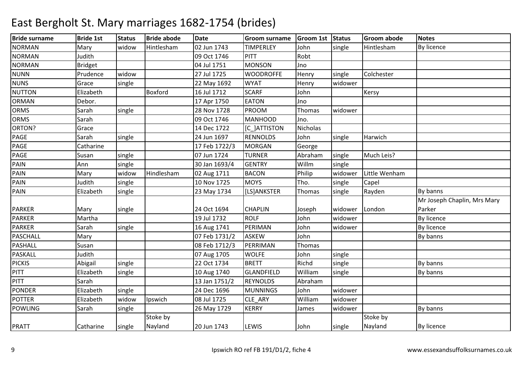| <b>Bride surname</b> | <b>Bride 1st</b> | <b>Status</b> | <b>Bride abode</b> | <b>Date</b>   | <b>Groom surname</b> | Groom 1st Status |         | <b>Groom abode</b> | <b>Notes</b>                |
|----------------------|------------------|---------------|--------------------|---------------|----------------------|------------------|---------|--------------------|-----------------------------|
| <b>NORMAN</b>        | Mary             | widow         | Hintlesham         | 02 Jun 1743   | <b>TIMPERLEY</b>     | John             | single  | Hintlesham         | By licence                  |
| <b>NORMAN</b>        | Judith           |               |                    | 09 Oct 1746   | PITT                 | Robt             |         |                    |                             |
| <b>NORMAN</b>        | <b>Bridget</b>   |               |                    | 04 Jul 1751   | <b>MONSON</b>        | Jno              |         |                    |                             |
| <b>NUNN</b>          | Prudence         | widow         |                    | 27 Jul 1725   | <b>WOODROFFE</b>     | Henry            | single  | Colchester         |                             |
| <b>NUNS</b>          | Grace            | single        |                    | 22 May 1692   | <b>WYAT</b>          | Henry            | widower |                    |                             |
| <b>NUTTON</b>        | Elizabeth        |               | Boxford            | 16 Jul 1712   | <b>SCARF</b>         | John             |         | Kersy              |                             |
| <b>ORMAN</b>         | Debor.           |               |                    | 17 Apr 1750   | <b>EATON</b>         | Jno              |         |                    |                             |
| <b>ORMS</b>          | Sarah            | single        |                    | 28 Nov 1728   | <b>PROOM</b>         | Thomas           | widower |                    |                             |
| <b>ORMS</b>          | Sarah            |               |                    | 09 Oct 1746   | MANHOOD              | Jno.             |         |                    |                             |
| ORTON?               | Grace            |               |                    | 14 Dec 1722   | [C_]ATTISTON         | Nicholas         |         |                    |                             |
| PAGE                 | Sarah            | single        |                    | 24 Jun 1697   | <b>RENNOLDS</b>      | John             | single  | Harwich            |                             |
| PAGE                 | Catharine        |               |                    | 17 Feb 1722/3 | <b>MORGAN</b>        | George           |         |                    |                             |
| PAGE                 | Susan            | single        |                    | 07 Jun 1724   | <b>TURNER</b>        | Abraham          | single  | Much Leis?         |                             |
| PAIN                 | Ann              | single        |                    | 30 Jan 1693/4 | <b>GENTRY</b>        | Willm            | single  |                    |                             |
| PAIN                 | Mary             | widow         | Hindlesham         | 02 Aug 1711   | <b>BACON</b>         | Philip           | widower | Little Wenham      |                             |
| PAIN                 | Judith           | single        |                    | 10 Nov 1725   | <b>MOYS</b>          | Tho.             | single  | Capel              |                             |
| PAIN                 | Elizabeth        | single        |                    | 23 May 1734   | [LS]ANKSTER          | Thomas           | single  | Rayden             | By banns                    |
|                      |                  |               |                    |               |                      |                  |         |                    | Mr Joseph Chaplin, Mrs Mary |
| <b>PARKER</b>        | Mary             | single        |                    | 24 Oct 1694   | <b>CHAPLIN</b>       | Joseph           | widower | London             | Parker                      |
| <b>PARKER</b>        | Martha           |               |                    | 19 Jul 1732   | <b>ROLF</b>          | John             | widower |                    | By licence                  |
| <b>PARKER</b>        | Sarah            | single        |                    | 16 Aug 1741   | PERIMAN              | John             | widower |                    | By licence                  |
| <b>PASCHALL</b>      | Mary             |               |                    | 07 Feb 1731/2 | <b>ASKEW</b>         | John             |         |                    | By banns                    |
| <b>PASHALL</b>       | Susan            |               |                    | 08 Feb 1712/3 | PERRIMAN             | Thomas           |         |                    |                             |
| <b>PASKALL</b>       | Judith           |               |                    | 07 Aug 1705   | <b>WOLFE</b>         | John             | single  |                    |                             |
| <b>PICKIS</b>        | Abigail          | single        |                    | 22 Oct 1734   | <b>BRETT</b>         | Richd            | single  |                    | By banns                    |
| <b>PITT</b>          | Elizabeth        | single        |                    | 10 Aug 1740   | <b>GLANDFIELD</b>    | William          | single  |                    | By banns                    |
| <b>PITT</b>          | Sarah            |               |                    | 13 Jan 1751/2 | <b>REYNOLDS</b>      | Abraham          |         |                    |                             |
| <b>PONDER</b>        | Elizabeth        | single        |                    | 24 Dec 1696   | <b>MUNNINGS</b>      | John             | widower |                    |                             |
| <b>POTTER</b>        | Elizabeth        | widow         | Ipswich            | 08 Jul 1725   | CLE ARY              | William          | widower |                    |                             |
| <b>POWLING</b>       | Sarah            | single        |                    | 26 May 1729   | <b>KERRY</b>         | James            | widower |                    | By banns                    |
|                      |                  |               | Stoke by           |               |                      |                  |         | Stoke by           |                             |
| <b>PRATT</b>         | Catharine        | single        | Nayland            | 20 Jun 1743   | LEWIS                | John             | single  | Nayland            | <b>By licence</b>           |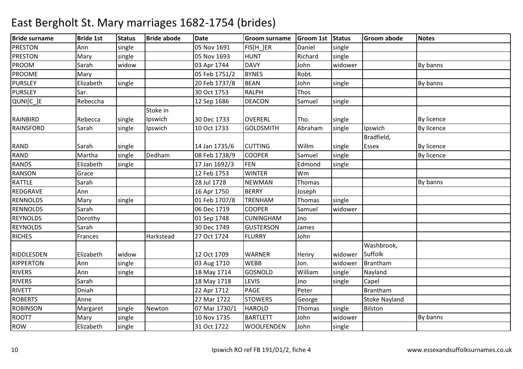#### Bride surnamee Bride 1st Status Bride abode Date Groom surname Groom 1st Status Groom abode Notes PRESTONN 1691 Ann Single 165 Nov 1691 FIS[H\_]ER Daniel single PRESTONN Mary single 05 Nov 1693 HUNT Richard single PROOM Sarah widow 03 Apr 1744 DAVY John widower By banns PROOME Mary 05 Feb 1751/2BYNES Robt.<br>BEAN John PURSLEYElizabeth<br>Sar. single 20 Feb 1737/8 N John single By banns **PURSLEY**  Sar. 30 Oct 1753 RALPH Thos QUNI[C\_]ERebeccha 1 and 12 Sep 1686 DEACONSamuel single RAINBIRD Rebecca single single Stoke in Ipswichh 30 Dec 1733 OVERERL Tho. Single By licence RAINSFORDD Sarah Single Ipswich 10 Oct 1733 GOLDSMITH Abraham Abraham single | Ipswich | By licence RAND Sarah Single 1 14 Jan 1735/6 CUTTING Willm Single single Bradfield, Essex By licence **By licence** RANDD Martha single Dedham m 08 Feb 1738/9 COOPER Samuel single By licence RANDS Elizabethsingle 17 Jan 1692/3 FEN<br>12 Feb 1753 WINTER Edmond single<br>Wm RANSONN Grace 12 Feb 1753 WINTER Wm Thomas RATTLE Sarah28 Jul 1728 **NEWMAN** N Thomas By banns REDGRAVE Ann 16 Apr 1750 BERRY Joseph RENNOLDSMary single 01 Feb 1707/8TRENHAM<br>COOPER Thomas single<br>Samuel widov RENNOLDS Sarah06 Dec 1719 widower REYNOLDS Dorothy 01 Sep 1748 CUNINGHAMCUNINGHAM Jno<br>GUSTERSON Jam REYNOLDS Sarah 30 Dec 1749 GUSTERSONJames<br>John **RICHES** Frances | Harkstead 27 Oct 1724 RIDDLESDEN Elizabeth widow 12 Oct 1709 WARNER Henry widowerWashbrook, SuffolkRIPPERTONN 1988 Ann Single 1989 Aug 1710 WEBB Jon. Widower Brantham m single Nayland RIVERS Ann single 18 May 1714 GOSNOLDWilliam<br>Jno RIVERS Sarah18 May 1718 | LEVIS **Ino** single Capel<br> **Peter** Brantham RIVETT Dniah 22 Apr 1712 PAGE Peter Brantham2 STOWERS George Stoke Nayland ROBERTS Anne 27 Mar 1722ROBINSONN 1991 Margaret single Newton 07 Mar 1730/1 HAROLD Thomas single Bilston ROOTTMary single 10 Nov 1735 BARTLETT Johnwidower New York By banns ROWElizabeth single 31 Oct 1722 WOOLFENDEN John single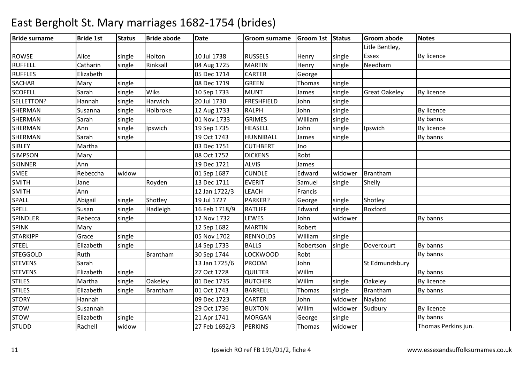| <b>Bride surname</b> | <b>Bride 1st</b> | <b>Status</b> | <b>Bride abode</b> | <b>Date</b>   | <b>Groom surname</b> | Groom 1st Status |         | <b>Groom abode</b>   | <b>Notes</b>        |
|----------------------|------------------|---------------|--------------------|---------------|----------------------|------------------|---------|----------------------|---------------------|
|                      |                  |               |                    |               |                      |                  |         | Litle Bentley,       |                     |
| <b>ROWSE</b>         | Alice            | single        | Holton             | 10 Jul 1738   | <b>RUSSELS</b>       | Henry            | single  | <b>Essex</b>         | By licence          |
| <b>RUFFELL</b>       | Catharin         | single        | Rinksall           | 04 Aug 1725   | <b>MARTIN</b>        | Henry            | single  | Needham              |                     |
| <b>RUFFLES</b>       | Elizabeth        |               |                    | 05 Dec 1714   | <b>CARTER</b>        | George           |         |                      |                     |
| <b>SACHAR</b>        | Mary             | single        |                    | 08 Dec 1719   | <b>GREEN</b>         | Thomas           | single  |                      |                     |
| <b>SCOFELL</b>       | Sarah            | single        | Wiks               | 10 Sep 1733   | <b>MUNT</b>          | James            | single  | <b>Great Oakeley</b> | By licence          |
| SELLETTON?           | Hannah           | single        | Harwich            | 20 Jul 1730   | FRESHFIELD           | John             | single  |                      |                     |
| SHERMAN              | Susanna          | single        | Holbroke           | 12 Aug 1733   | <b>RALPH</b>         | John             | single  |                      | By licence          |
| SHERMAN              | Sarah            | single        |                    | 01 Nov 1733   | <b>GRIMES</b>        | William          | single  |                      | By banns            |
| SHERMAN              | Ann              | single        | Ipswich            | 19 Sep 1735   | <b>HEASELL</b>       | John             | single  | Ipswich              | By licence          |
| SHERMAN              | Sarah            | single        |                    | 19 Oct 1743   | HUNNIBALL            | James            | single  |                      | By banns            |
| <b>SIBLEY</b>        | Martha           |               |                    | 03 Dec 1751   | <b>CUTHBERT</b>      | Jno              |         |                      |                     |
| <b>SIMPSON</b>       | Mary             |               |                    | 08 Oct 1752   | <b>DICKENS</b>       | Robt             |         |                      |                     |
| <b>SKINNER</b>       | Ann              |               |                    | 19 Dec 1721   | <b>ALVIS</b>         | James            |         |                      |                     |
| <b>SMEE</b>          | Rebeccha         | widow         |                    | 01 Sep 1687   | <b>CUNDLE</b>        | Edward           | widower | Brantham             |                     |
| <b>SMITH</b>         | Jane             |               | Royden             | 13 Dec 1711   | <b>EVERIT</b>        | Samuel           | single  | Shelly               |                     |
| <b>SMITH</b>         | Ann              |               |                    | 12 Jan 1722/3 | <b>LEACH</b>         | Francis          |         |                      |                     |
| <b>SPALL</b>         | Abigail          | single        | Shotley            | 19 Jul 1727   | PARKER?              | George           | single  | Shotley              |                     |
| <b>SPELL</b>         | Susan            | single        | Hadleigh           | 16 Feb 1718/9 | <b>RATLIFF</b>       | Edward           | single  | Boxford              |                     |
| <b>SPINDLER</b>      | Rebecca          | single        |                    | 12 Nov 1732   | <b>LEWES</b>         | John             | widower |                      | By banns            |
| <b>SPINK</b>         | Mary             |               |                    | 12 Sep 1682   | <b>MARTIN</b>        | Robert           |         |                      |                     |
| <b>STARKIPP</b>      | Grace            | single        |                    | 05 Nov 1702   | <b>RENNOLDS</b>      | William          | single  |                      |                     |
| <b>STEEL</b>         | Elizabeth        | single        |                    | 14 Sep 1733   | <b>BALLS</b>         | Robertson        | single  | Dovercourt           | By banns            |
| <b>STEGGOLD</b>      | Ruth             |               | Brantham           | 30 Sep 1744   | <b>LOCKWOOD</b>      | Robt             |         |                      | By banns            |
| <b>STEVENS</b>       | Sarah            |               |                    | 13 Jan 1725/6 | <b>PROOM</b>         | John             |         | St Edmundsbury       |                     |
| <b>STEVENS</b>       | Elizabeth        | single        |                    | 27 Oct 1728   | <b>QUILTER</b>       | Willm            |         |                      | By banns            |
| <b>STILES</b>        | Martha           | single        | Oakeley            | 01 Dec 1735   | <b>BUTCHER</b>       | Willm            | single  | Oakeley              | <b>By licence</b>   |
| <b>STILES</b>        | Elizabeth        | single        | <b>Brantham</b>    | 01 Oct 1743   | <b>BARRELL</b>       | Thomas           | single  | Brantham             | By banns            |
| <b>STORY</b>         | Hannah           |               |                    | 09 Dec 1723   | <b>CARTER</b>        | John             | widower | Nayland              |                     |
| <b>STOW</b>          | Susannah         |               |                    | 29 Oct 1736   | <b>BUXTON</b>        | Willm            | widower | Sudbury              | By licence          |
| <b>STOW</b>          | Elizabeth        | single        |                    | 21 Apr 1741   | <b>MORGAN</b>        | George           | single  |                      | By banns            |
| <b>STUDD</b>         | Rachell          | widow         |                    | 27 Feb 1692/3 | <b>PERKINS</b>       | Thomas           | widower |                      | Thomas Perkins jun. |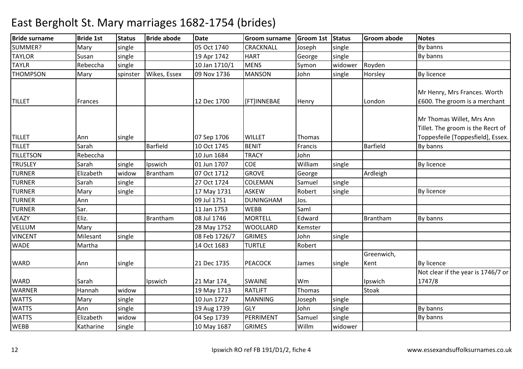#### Bride surnamee Bride 1st Status Bride abode Date Groom surname Groom 1st Status Groom abode Notes SUMMER?Mary single<br>Susan single 05 Oct 174005 Oct 1740 CRACKNALL Joseph<br>19 Apr 1742 HART George single By banns<br>single By banns TAYLORR 19 Apr 1742 HART George single By banns By banns TAYLRRebeccha single 10 Jan 1710/1 MENS Symon widower Royden **THOMPSON** N Mary spinster Wikes, Essex 09 Nov 1736 MANSON John single Horsley By licence TILLET Frances 12 Dec 1700 [FT]INNEBAE Henry LondonMr Henry, Mrs Frances. Worth £600. The groom is a merchantTILLET Ann single 07 Sep 1706 WILLET ThomasMr Thomas Willet, Mrs Ann Tillet. The groom is the Recrt of Toppesfeile [Toppesfield], Essex.TILLET Sarahh | Barfield | 10 Oct 1745 BENIT | Francis | Barfield By banns **TILLETSON** N Rebeccha 10 Jun 1684 TRACY John TRUSLEY Sarahh single Ipswich 101 Jun 1707 COE William m single and single By licence TURNER Elizabeth widowwidow Brantham<br>single m | 07 Oct 1712 | GROVE | George | Ardleigh<br>| 07 Oct 1712 | GROVE | George | Ardleigh TURNERR Sarah single 27 Oct 1724 COLEMAN **COLEMAN** Samuel single<br> **SKEW** Robert single TURNERMary single 17 May 1731 ASKEW Single 17 May 1731 ASKEW W Robert single By licence<br>DIGUAN Les Externalisment of By licence TURNER Ann 09 Jul 1751 DUNINGHAMJos.<br>Saml TURNER Sar. 11 Jan 1753 WEBB Saml VEAZYEliz. **I** Brantham m 08 Jul 1746 MORTELL Edward Brantham By banns VELLUM Mary 28 May 1752 WOOLLARD Kemster VINCENTMilesant single 08 Feb 1726/7 GRIMES JohnJohn single<br>Robert WADEMartha 1 14 Oct 1683 **TURTLE** WARD Ann single 21 Dec 1735 PEACOCK James singleGreenwich, Kent By licence Not clear if the year is 1746/7 or WARD Sarah Ipswich 21 Mar 174\_ SWAINE Wm Ipswich1747/8WARNER Hannah widoww 19 May 1713 RATLIFT Thomas Stoak **WATTS** Mary single 10 Jun 1727MANNING<br>GLY Joseph <mark>single</mark><br>John single **WATTS**  Annn single 19 Aug 1739 GLY John single By banns **WATTS**  Elizabeth widoww | 1999 | DERRIMENT Samuel single | 1999 | By banns WEBBB 10 May 1687 GRIMES Willm Willm widower